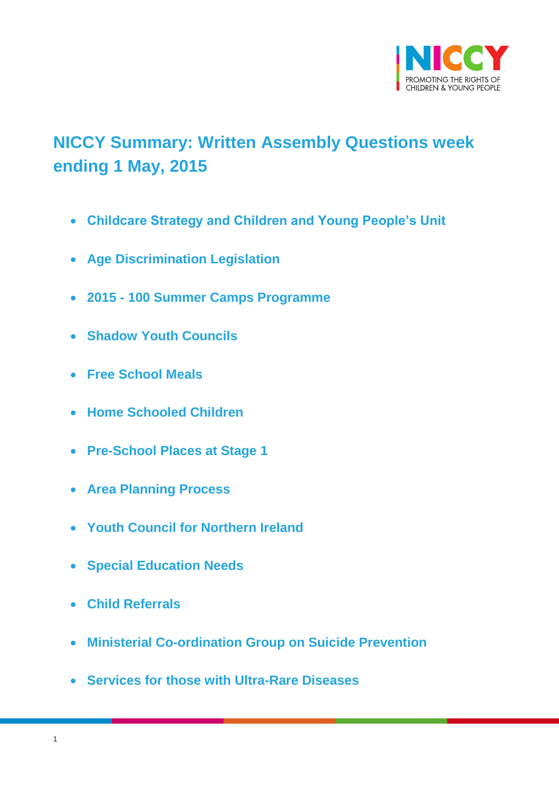

# <span id="page-0-0"></span>**NICCY Summary: Written Assembly Questions week ending 1 May, 2015**

- **[Childcare Strategy and Children and Young People's Unit](#page-2-0)**
- **[Age Discrimination Legislation](#page-2-1)**
- **2015 - [100 Summer Camps Programme](#page-3-0)**
- **[Shadow Youth Councils](#page-4-0)**
- **[Free School Meals](#page-5-0)**
- **[Home Schooled Children](#page-6-0)**
- **[Pre-School Places at Stage 1](#page-6-1)**
- **[Area Planning Process](#page-7-0)**
- **[Youth Council for](#page-8-0) Northern Ireland**
- **[Special Education Needs](#page-8-1)**
- **[Child Referrals](#page-9-0)**
- **[Ministerial Co-ordination Group on Suicide Prevention](#page-11-0)**
- **[Services for those with Ultra-Rare Diseases](#page-11-1)**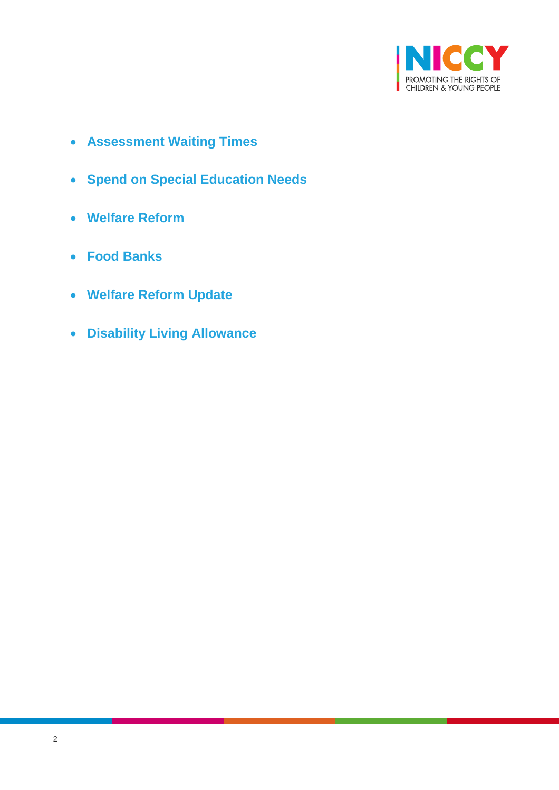

- **[Assessment Waiting Times](#page-11-2)**
- **[Spend on Special Education Needs](#page-13-0)**
- **[Welfare Reform](#page-14-0)**
- **[Food Banks](#page-15-0)**
- **[Welfare Reform Update](#page-15-1)**
- **[Disability Living Allowance](#page-16-0)**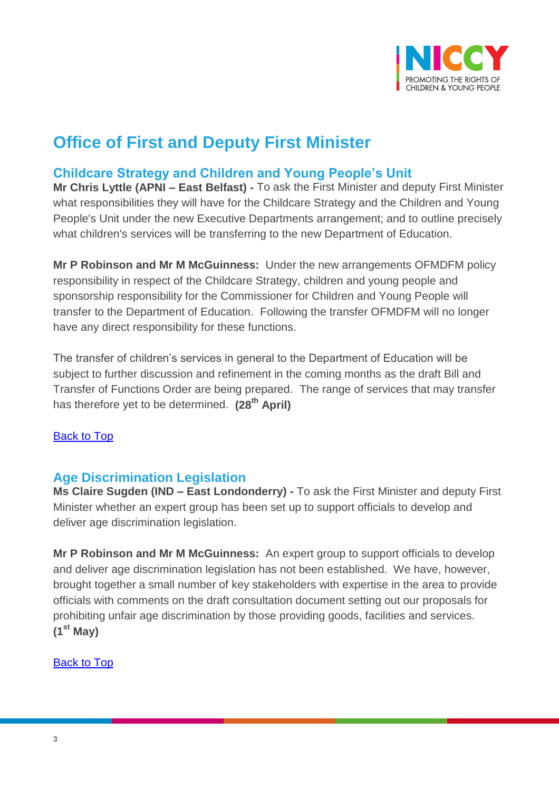

# **Office of First and Deputy First Minister**

# <span id="page-2-0"></span>**Childcare Strategy and Children and Young People's Unit**

**Mr Chris Lyttle (APNI – East Belfast) -** To ask the First Minister and deputy First Minister what responsibilities they will have for the Childcare Strategy and the Children and Young People's Unit under the new Executive Departments arrangement; and to outline precisely what children's services will be transferring to the new Department of Education.

**Mr P Robinson and Mr M McGuinness:** Under the new arrangements OFMDFM policy responsibility in respect of the Childcare Strategy, children and young people and sponsorship responsibility for the Commissioner for Children and Young People will transfer to the Department of Education. Following the transfer OFMDFM will no longer have any direct responsibility for these functions.

The transfer of children's services in general to the Department of Education will be subject to further discussion and refinement in the coming months as the draft Bill and Transfer of Functions Order are being prepared. The range of services that may transfer has therefore yet to be determined. **(28th April)**

### [Back to Top](#page-0-0)

## <span id="page-2-1"></span>**Age Discrimination Legislation**

**Ms Claire Sugden (IND – East Londonderry) -** To ask the First Minister and deputy First Minister whether an expert group has been set up to support officials to develop and deliver age discrimination legislation.

**Mr P Robinson and Mr M McGuinness:** An expert group to support officials to develop and deliver age discrimination legislation has not been established. We have, however, brought together a small number of key stakeholders with expertise in the area to provide officials with comments on the draft consultation document setting out our proposals for prohibiting unfair age discrimination by those providing goods, facilities and services. **(1st May)**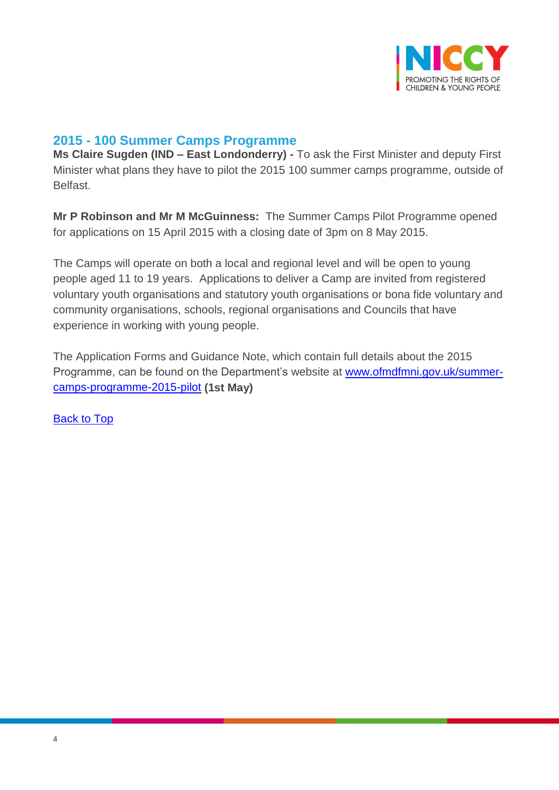

### <span id="page-3-0"></span>**2015 - 100 Summer Camps Programme**

**Ms Claire Sugden (IND – East Londonderry) -** To ask the First Minister and deputy First Minister what plans they have to pilot the 2015 100 summer camps programme, outside of **Belfast** 

**Mr P Robinson and Mr M McGuinness:** The Summer Camps Pilot Programme opened for applications on 15 April 2015 with a closing date of 3pm on 8 May 2015.

The Camps will operate on both a local and regional level and will be open to young people aged 11 to 19 years. Applications to deliver a Camp are invited from registered voluntary youth organisations and statutory youth organisations or bona fide voluntary and community organisations, schools, regional organisations and Councils that have experience in working with young people.

The Application Forms and Guidance Note, which contain full details about the 2015 Programme, can be found on the Department's website at [www.ofmdfmni.gov.uk/summer](http://www.ofmdfmni.gov.uk/summer-camps-programme-2015-pilot)[camps-programme-2015-pilot](http://www.ofmdfmni.gov.uk/summer-camps-programme-2015-pilot) **(1st May)**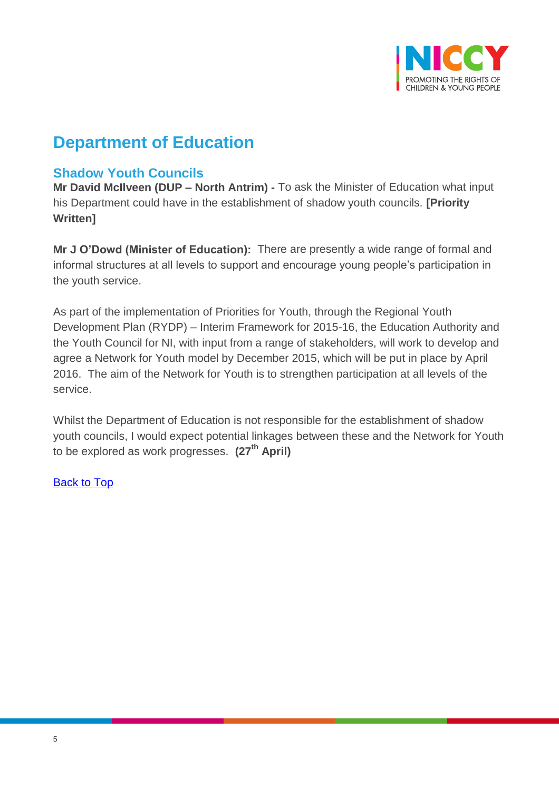

# **Department of Education**

## <span id="page-4-0"></span>**Shadow Youth Councils**

**Mr David McIlveen (DUP – North Antrim) -** To ask the Minister of Education what input his Department could have in the establishment of shadow youth councils. **[Priority Written]**

**Mr J O'Dowd (Minister of Education):** There are presently a wide range of formal and informal structures at all levels to support and encourage young people's participation in the youth service.

As part of the implementation of Priorities for Youth, through the Regional Youth Development Plan (RYDP) – Interim Framework for 2015-16, the Education Authority and the Youth Council for NI, with input from a range of stakeholders, will work to develop and agree a Network for Youth model by December 2015, which will be put in place by April 2016. The aim of the Network for Youth is to strengthen participation at all levels of the service.

Whilst the Department of Education is not responsible for the establishment of shadow youth councils, I would expect potential linkages between these and the Network for Youth to be explored as work progresses. **(27th April)**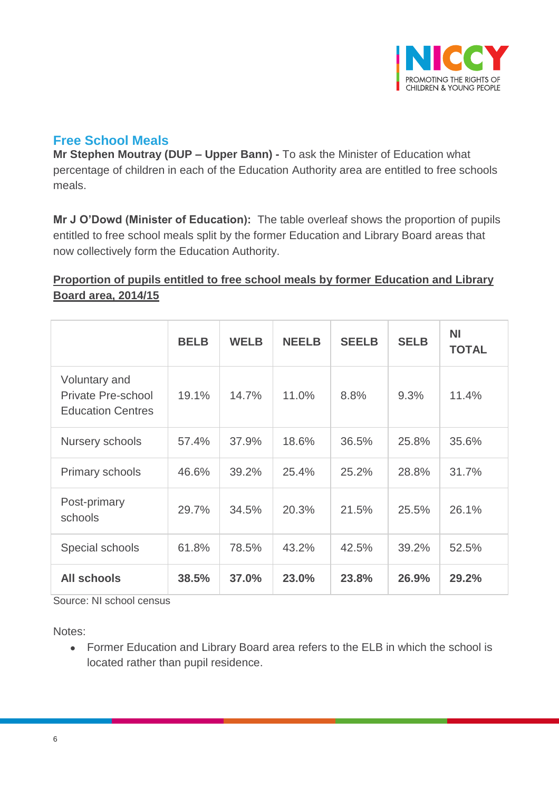

# <span id="page-5-0"></span>**Free School Meals**

**Mr Stephen Moutray (DUP – Upper Bann) -** To ask the Minister of Education what percentage of children in each of the Education Authority area are entitled to free schools meals.

**Mr J O'Dowd (Minister of Education):** The table overleaf shows the proportion of pupils entitled to free school meals split by the former Education and Library Board areas that now collectively form the Education Authority.

### **Proportion of pupils entitled to free school meals by former Education and Library Board area, 2014/15**

|                                                                        | <b>BELB</b> | <b>WELB</b> | <b>NEELB</b> | <b>SEELB</b> | <b>SELB</b> | <b>NI</b><br><b>TOTAL</b> |
|------------------------------------------------------------------------|-------------|-------------|--------------|--------------|-------------|---------------------------|
| Voluntary and<br><b>Private Pre-school</b><br><b>Education Centres</b> | 19.1%       | 14.7%       | 11.0%        | 8.8%         | 9.3%        | 11.4%                     |
| Nursery schools                                                        | 57.4%       | 37.9%       | 18.6%        | 36.5%        | 25.8%       | 35.6%                     |
| Primary schools                                                        | 46.6%       | 39.2%       | 25.4%        | 25.2%        | 28.8%       | 31.7%                     |
| Post-primary<br>schools                                                | 29.7%       | 34.5%       | 20.3%        | 21.5%        | 25.5%       | 26.1%                     |
| Special schools                                                        | 61.8%       | 78.5%       | 43.2%        | 42.5%        | 39.2%       | 52.5%                     |
| <b>All schools</b>                                                     | 38.5%       | 37.0%       | 23.0%        | 23.8%        | 26.9%       | 29.2%                     |

Source: NI school census

Notes:

 Former Education and Library Board area refers to the ELB in which the school is located rather than pupil residence.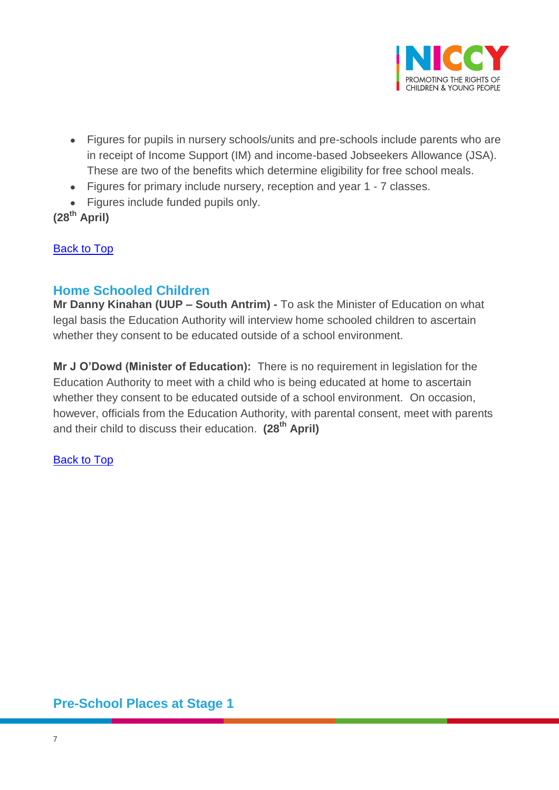

- Figures for pupils in nursery schools/units and pre-schools include parents who are in receipt of Income Support (IM) and income-based Jobseekers Allowance (JSA). These are two of the benefits which determine eligibility for free school meals.
- Figures for primary include nursery, reception and year 1 7 classes.
- Figures include funded pupils only.

**(28th April)**

**[Back to Top](#page-0-0)** 

### <span id="page-6-0"></span>**Home Schooled Children**

**Mr Danny Kinahan (UUP – South Antrim) -** To ask the Minister of Education on what legal basis the Education Authority will interview home schooled children to ascertain whether they consent to be educated outside of a school environment.

**Mr J O'Dowd (Minister of Education):** There is no requirement in legislation for the Education Authority to meet with a child who is being educated at home to ascertain whether they consent to be educated outside of a school environment. On occasion, however, officials from the Education Authority, with parental consent, meet with parents and their child to discuss their education. **(28th April)**

[Back to Top](#page-0-0)

## <span id="page-6-1"></span>**Pre-School Places at Stage 1**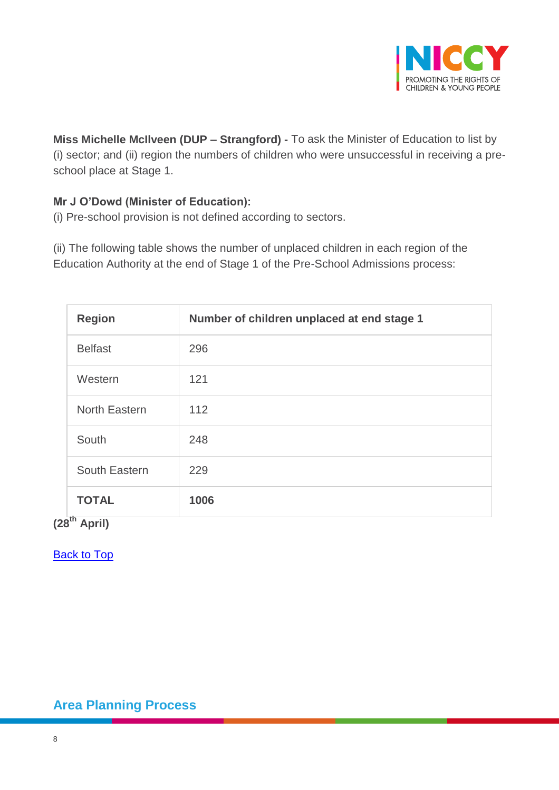

**Miss Michelle McIlveen (DUP – Strangford) -** To ask the Minister of Education to list by (i) sector; and (ii) region the numbers of children who were unsuccessful in receiving a preschool place at Stage 1.

### **Mr J O'Dowd (Minister of Education):**

(i) Pre-school provision is not defined according to sectors.

(ii) The following table shows the number of unplaced children in each region of the Education Authority at the end of Stage 1 of the Pre-School Admissions process:

| <b>Region</b>                 | Number of children unplaced at end stage 1 |
|-------------------------------|--------------------------------------------|
| <b>Belfast</b>                | 296                                        |
| Western                       | 121                                        |
| North Eastern                 | 112                                        |
| South                         | 248                                        |
| South Eastern                 | 229                                        |
| <b>TOTAL</b><br><del>th</del> | 1006                                       |

**(28th April)**

[Back to Top](#page-0-0)

<span id="page-7-0"></span>**Area Planning Process**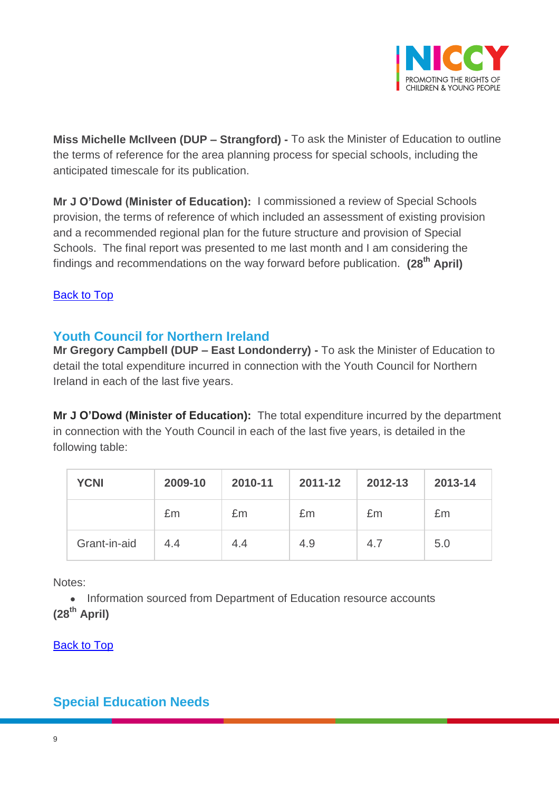

**Miss Michelle McIlveen (DUP – Strangford) -** To ask the Minister of Education to outline the terms of reference for the area planning process for special schools, including the anticipated timescale for its publication.

**Mr J O'Dowd (Minister of Education):** I commissioned a review of Special Schools provision, the terms of reference of which included an assessment of existing provision and a recommended regional plan for the future structure and provision of Special Schools. The final report was presented to me last month and I am considering the findings and recommendations on the way forward before publication. **(28th April)**

### [Back to Top](#page-0-0)

## <span id="page-8-0"></span>**Youth Council for Northern Ireland**

**Mr Gregory Campbell (DUP – East Londonderry) -** To ask the Minister of Education to detail the total expenditure incurred in connection with the Youth Council for Northern Ireland in each of the last five years.

**Mr J O'Dowd (Minister of Education):** The total expenditure incurred by the department in connection with the Youth Council in each of the last five years, is detailed in the following table:

| <b>YCNI</b>  | 2009-10 | 2010-11 | 2011-12 | 2012-13 | 2013-14 |
|--------------|---------|---------|---------|---------|---------|
|              | £m      | £m      | £m      | £m      | £m      |
| Grant-in-aid | 4.4     | 4.4     | 4.9     | 4.7     | 5.0     |

Notes:

• Information sourced from Department of Education resource accounts **(28th April)**

[Back to Top](#page-0-0)

# <span id="page-8-1"></span>**Special Education Needs**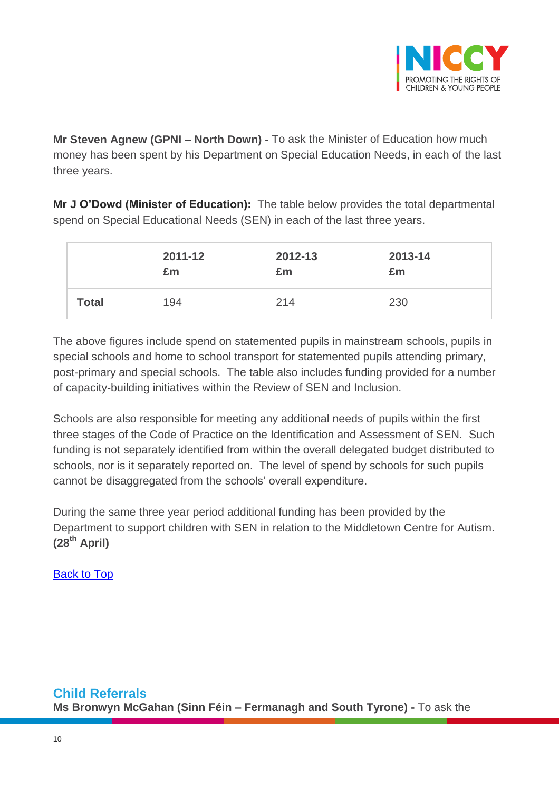

**Mr Steven Agnew (GPNI – North Down) -** To ask the Minister of Education how much money has been spent by his Department on Special Education Needs, in each of the last three years.

**Mr J O'Dowd (Minister of Education):** The table below provides the total departmental spend on Special Educational Needs (SEN) in each of the last three years.

|              | 2011-12 | 2012-13 | 2013-14 |
|--------------|---------|---------|---------|
|              | £m      | £m      | £m      |
| <b>Total</b> | 194     | 214     | 230     |

The above figures include spend on statemented pupils in mainstream schools, pupils in special schools and home to school transport for statemented pupils attending primary, post-primary and special schools. The table also includes funding provided for a number of capacity-building initiatives within the Review of SEN and Inclusion.

Schools are also responsible for meeting any additional needs of pupils within the first three stages of the Code of Practice on the Identification and Assessment of SEN. Such funding is not separately identified from within the overall delegated budget distributed to schools, nor is it separately reported on. The level of spend by schools for such pupils cannot be disaggregated from the schools' overall expenditure.

<span id="page-9-0"></span>During the same three year period additional funding has been provided by the Department to support children with SEN in relation to the Middletown Centre for Autism. **(28th April)**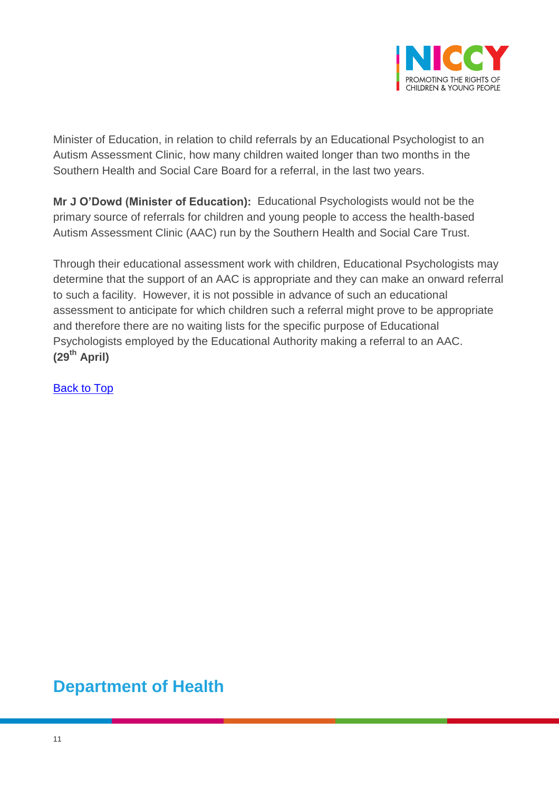

Minister of Education, in relation to child referrals by an Educational Psychologist to an Autism Assessment Clinic, how many children waited longer than two months in the Southern Health and Social Care Board for a referral, in the last two years.

**Mr J O'Dowd (Minister of Education):** Educational Psychologists would not be the primary source of referrals for children and young people to access the health-based Autism Assessment Clinic (AAC) run by the Southern Health and Social Care Trust.

Through their educational assessment work with children, Educational Psychologists may determine that the support of an AAC is appropriate and they can make an onward referral to such a facility. However, it is not possible in advance of such an educational assessment to anticipate for which children such a referral might prove to be appropriate and therefore there are no waiting lists for the specific purpose of Educational Psychologists employed by the Educational Authority making a referral to an AAC. **(29th April)**

[Back to Top](#page-0-0)

# **Department of Health**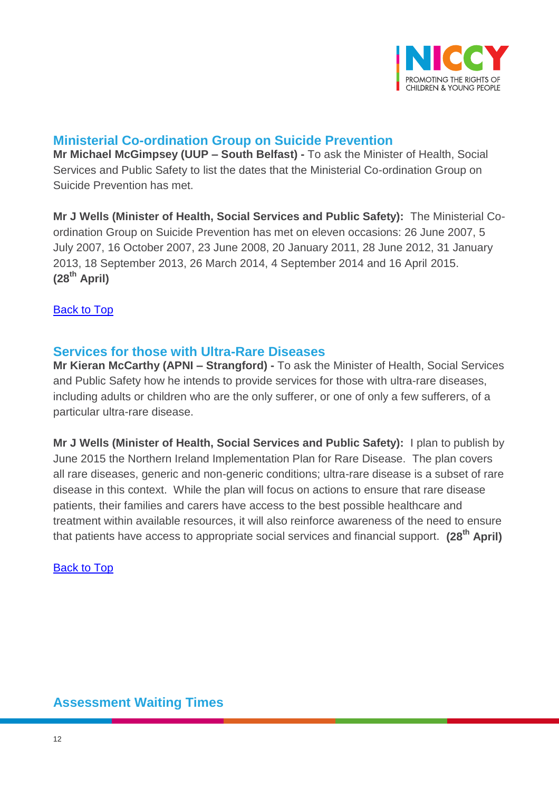

# <span id="page-11-0"></span>**Ministerial Co-ordination Group on Suicide Prevention**

**Mr Michael McGimpsey (UUP – South Belfast) -** To ask the Minister of Health, Social Services and Public Safety to list the dates that the Ministerial Co-ordination Group on Suicide Prevention has met.

**Mr J Wells (Minister of Health, Social Services and Public Safety):** The Ministerial Coordination Group on Suicide Prevention has met on eleven occasions: 26 June 2007, 5 July 2007, 16 October 2007, 23 June 2008, 20 January 2011, 28 June 2012, 31 January 2013, 18 September 2013, 26 March 2014, 4 September 2014 and 16 April 2015. **(28th April)** 

[Back to Top](#page-0-0)

### <span id="page-11-1"></span>**Services for those with Ultra-Rare Diseases**

**Mr Kieran McCarthy (APNI – Strangford) -** To ask the Minister of Health, Social Services and Public Safety how he intends to provide services for those with ultra-rare diseases, including adults or children who are the only sufferer, or one of only a few sufferers, of a particular ultra-rare disease.

**Mr J Wells (Minister of Health, Social Services and Public Safety):** I plan to publish by June 2015 the Northern Ireland Implementation Plan for Rare Disease. The plan covers all rare diseases, generic and non-generic conditions; ultra-rare disease is a subset of rare disease in this context. While the plan will focus on actions to ensure that rare disease patients, their families and carers have access to the best possible healthcare and treatment within available resources, it will also reinforce awareness of the need to ensure that patients have access to appropriate social services and financial support. **(28th April)**

[Back to Top](#page-0-0)

## <span id="page-11-2"></span>**Assessment Waiting Times**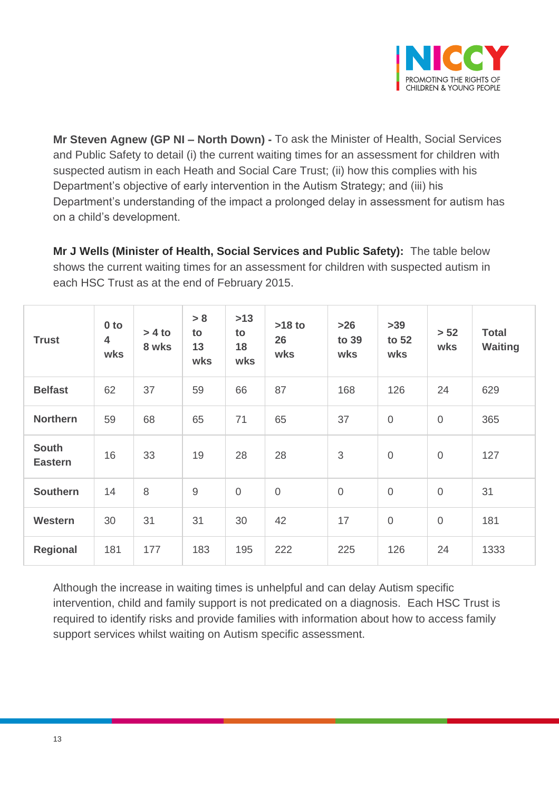

**Mr Steven Agnew (GP NI – North Down) -** To ask the Minister of Health, Social Services and Public Safety to detail (i) the current waiting times for an assessment for children with suspected autism in each Heath and Social Care Trust; (ii) how this complies with his Department's objective of early intervention in the Autism Strategy; and (iii) his Department's understanding of the impact a prolonged delay in assessment for autism has on a child's development.

**Mr J Wells (Minister of Health, Social Services and Public Safety):** The table below shows the current waiting times for an assessment for children with suspected autism in each HSC Trust as at the end of February 2015.

| <b>Trust</b>                   | 0 <sub>to</sub><br>4<br>wks | $> 4$ to<br>8 wks | > 8<br>to<br>13<br>wks | $>13$<br>to<br>18<br>wks | $>18$ to<br>26<br>wks | $>26$<br>to 39<br>wks | $>39$<br>to 52<br>wks | > 52<br>wks    | <b>Total</b><br><b>Waiting</b> |
|--------------------------------|-----------------------------|-------------------|------------------------|--------------------------|-----------------------|-----------------------|-----------------------|----------------|--------------------------------|
| <b>Belfast</b>                 | 62                          | 37                | 59                     | 66                       | 87                    | 168                   | 126                   | 24             | 629                            |
| <b>Northern</b>                | 59                          | 68                | 65                     | 71                       | 65                    | 37                    | $\overline{0}$        | $\overline{0}$ | 365                            |
| <b>South</b><br><b>Eastern</b> | 16                          | 33                | 19                     | 28                       | 28                    | $\sqrt{3}$            | $\overline{0}$        | $\overline{0}$ | 127                            |
| <b>Southern</b>                | 14                          | 8                 | $\overline{9}$         | $\overline{0}$           | $\mathbf 0$           | $\mathbf 0$           | $\mathbf 0$           | $\overline{0}$ | 31                             |
| Western                        | 30                          | 31                | 31                     | 30                       | 42                    | 17                    | $\overline{0}$        | $\overline{0}$ | 181                            |
| Regional                       | 181                         | 177               | 183                    | 195                      | 222                   | 225                   | 126                   | 24             | 1333                           |

Although the increase in waiting times is unhelpful and can delay Autism specific intervention, child and family support is not predicated on a diagnosis. Each HSC Trust is required to identify risks and provide families with information about how to access family support services whilst waiting on Autism specific assessment.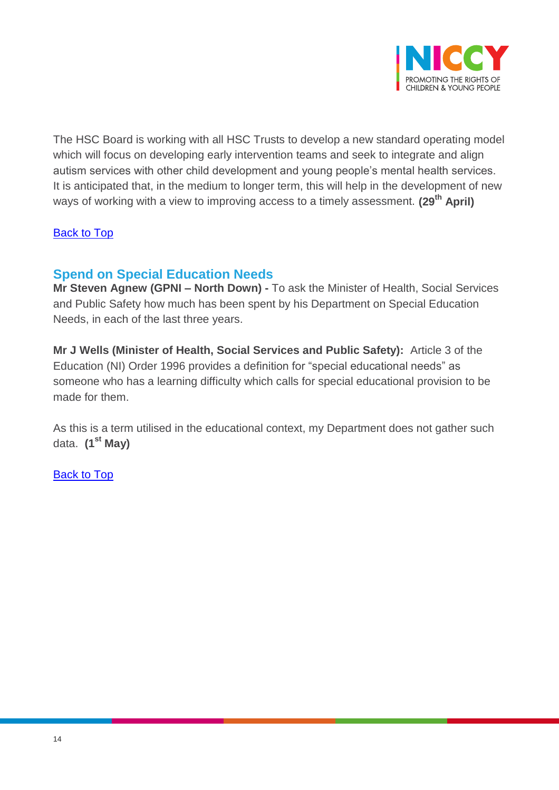

The HSC Board is working with all HSC Trusts to develop a new standard operating model which will focus on developing early intervention teams and seek to integrate and align autism services with other child development and young people's mental health services. It is anticipated that, in the medium to longer term, this will help in the development of new ways of working with a view to improving access to a timely assessment. **(29th April)**

#### [Back to Top](#page-0-0)

### <span id="page-13-0"></span>**Spend on Special Education Needs**

**Mr Steven Agnew (GPNI – North Down) -** To ask the Minister of Health, Social Services and Public Safety how much has been spent by his Department on Special Education Needs, in each of the last three years.

**Mr J Wells (Minister of Health, Social Services and Public Safety):** Article 3 of the Education (NI) Order 1996 provides a definition for "special educational needs" as someone who has a learning difficulty which calls for special educational provision to be made for them.

As this is a term utilised in the educational context, my Department does not gather such data. **(1st May)**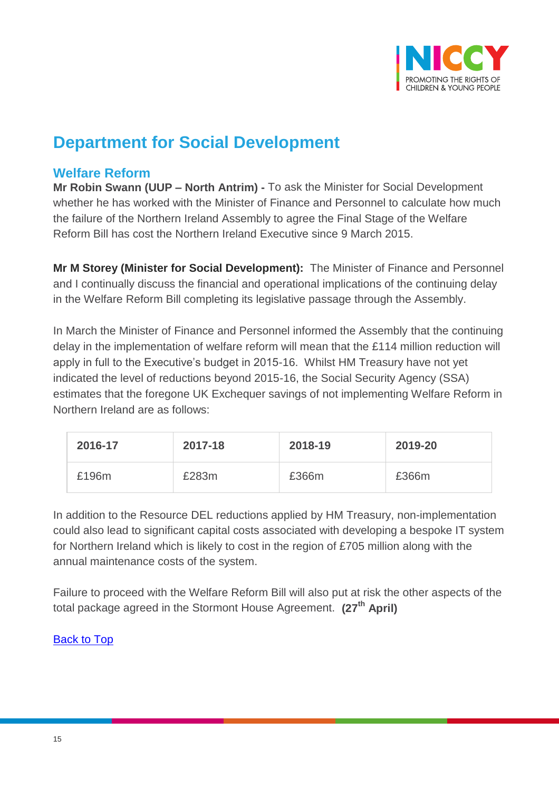

# **Department for Social Development**

### <span id="page-14-0"></span>**Welfare Reform**

**Mr Robin Swann (UUP – North Antrim) -** To ask the Minister for Social Development whether he has worked with the Minister of Finance and Personnel to calculate how much the failure of the Northern Ireland Assembly to agree the Final Stage of the Welfare Reform Bill has cost the Northern Ireland Executive since 9 March 2015.

**Mr M Storey (Minister for Social Development):** The Minister of Finance and Personnel and I continually discuss the financial and operational implications of the continuing delay in the Welfare Reform Bill completing its legislative passage through the Assembly.

In March the Minister of Finance and Personnel informed the Assembly that the continuing delay in the implementation of welfare reform will mean that the £114 million reduction will apply in full to the Executive's budget in 2015-16. Whilst HM Treasury have not yet indicated the level of reductions beyond 2015-16, the Social Security Agency (SSA) estimates that the foregone UK Exchequer savings of not implementing Welfare Reform in Northern Ireland are as follows:

| 2016-17 | 2017-18 | 2018-19 | 2019-20 |
|---------|---------|---------|---------|
| £196m   | £283m   | £366m   | £366m   |

In addition to the Resource DEL reductions applied by HM Treasury, non-implementation could also lead to significant capital costs associated with developing a bespoke IT system for Northern Ireland which is likely to cost in the region of £705 million along with the annual maintenance costs of the system.

Failure to proceed with the Welfare Reform Bill will also put at risk the other aspects of the total package agreed in the Stormont House Agreement. **(27th April)**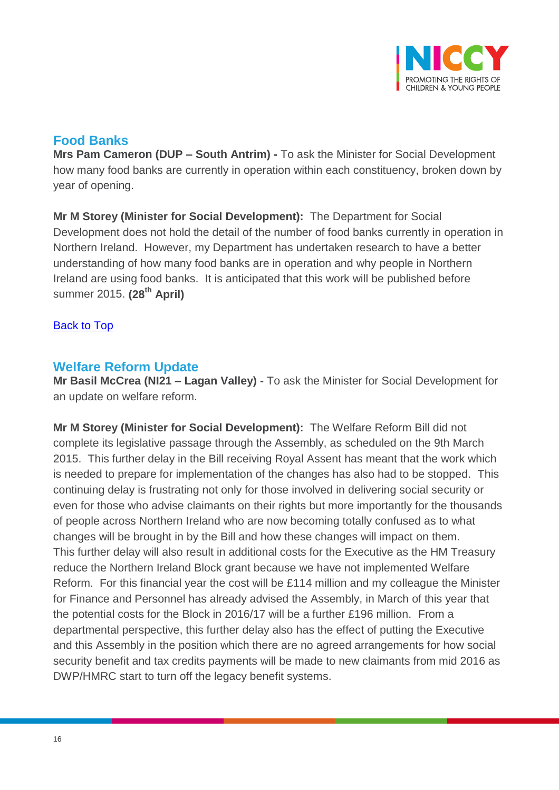

### <span id="page-15-0"></span>**Food Banks**

**Mrs Pam Cameron (DUP – South Antrim) -** To ask the Minister for Social Development how many food banks are currently in operation within each constituency, broken down by year of opening.

**Mr M Storey (Minister for Social Development):** The Department for Social Development does not hold the detail of the number of food banks currently in operation in Northern Ireland. However, my Department has undertaken research to have a better understanding of how many food banks are in operation and why people in Northern Ireland are using food banks. It is anticipated that this work will be published before summer 2015. **(28th April)**

#### [Back to Top](#page-0-0)

### <span id="page-15-1"></span>**Welfare Reform Update**

**Mr Basil McCrea (NI21 – Lagan Valley) -** To ask the Minister for Social Development for an update on welfare reform.

**Mr M Storey (Minister for Social Development):** The Welfare Reform Bill did not complete its legislative passage through the Assembly, as scheduled on the 9th March 2015. This further delay in the Bill receiving Royal Assent has meant that the work which is needed to prepare for implementation of the changes has also had to be stopped. This continuing delay is frustrating not only for those involved in delivering social security or even for those who advise claimants on their rights but more importantly for the thousands of people across Northern Ireland who are now becoming totally confused as to what changes will be brought in by the Bill and how these changes will impact on them. This further delay will also result in additional costs for the Executive as the HM Treasury reduce the Northern Ireland Block grant because we have not implemented Welfare Reform. For this financial year the cost will be £114 million and my colleague the Minister for Finance and Personnel has already advised the Assembly, in March of this year that the potential costs for the Block in 2016/17 will be a further £196 million. From a departmental perspective, this further delay also has the effect of putting the Executive and this Assembly in the position which there are no agreed arrangements for how social security benefit and tax credits payments will be made to new claimants from mid 2016 as DWP/HMRC start to turn off the legacy benefit systems.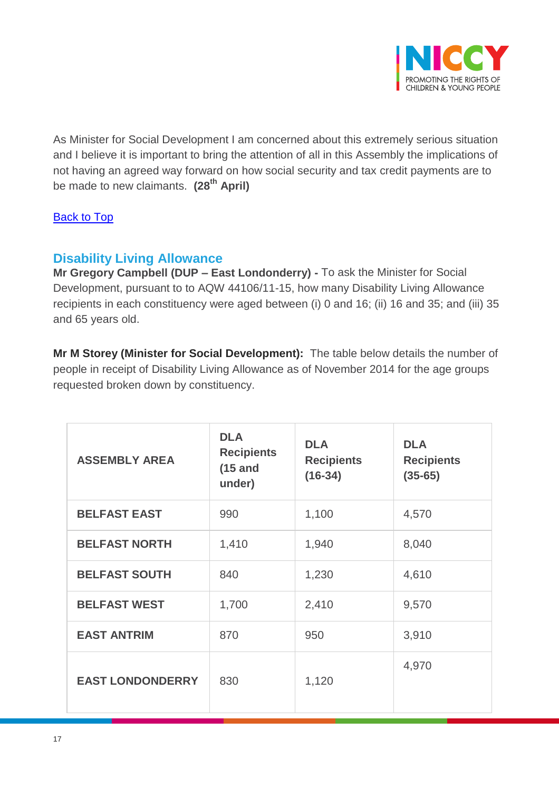

As Minister for Social Development I am concerned about this extremely serious situation and I believe it is important to bring the attention of all in this Assembly the implications of not having an agreed way forward on how social security and tax credit payments are to be made to new claimants. **(28th April)**

### **[Back to Top](#page-0-0)**

## <span id="page-16-0"></span>**Disability Living Allowance**

**Mr Gregory Campbell (DUP – East Londonderry) -** To ask the Minister for Social Development, pursuant to to AQW 44106/11-15, how many Disability Living Allowance recipients in each constituency were aged between (i) 0 and 16; (ii) 16 and 35; and (iii) 35 and 65 years old.

**Mr M Storey (Minister for Social Development):** The table below details the number of people in receipt of Disability Living Allowance as of November 2014 for the age groups requested broken down by constituency.

| <b>ASSEMBLY AREA</b>    | <b>DLA</b><br><b>Recipients</b><br>$(15$ and<br>under) | <b>DLA</b><br><b>Recipients</b><br>$(16-34)$ | <b>DLA</b><br><b>Recipients</b><br>$(35-65)$ |
|-------------------------|--------------------------------------------------------|----------------------------------------------|----------------------------------------------|
| <b>BELFAST EAST</b>     | 990                                                    | 1,100                                        | 4,570                                        |
| <b>BELFAST NORTH</b>    | 1,410                                                  | 1,940                                        | 8,040                                        |
| <b>BELFAST SOUTH</b>    | 840                                                    | 1,230                                        | 4,610                                        |
| <b>BELFAST WEST</b>     | 1,700                                                  | 2,410                                        | 9,570                                        |
| <b>EAST ANTRIM</b>      | 870                                                    | 950                                          | 3,910                                        |
| <b>EAST LONDONDERRY</b> | 830                                                    | 1,120                                        | 4,970                                        |